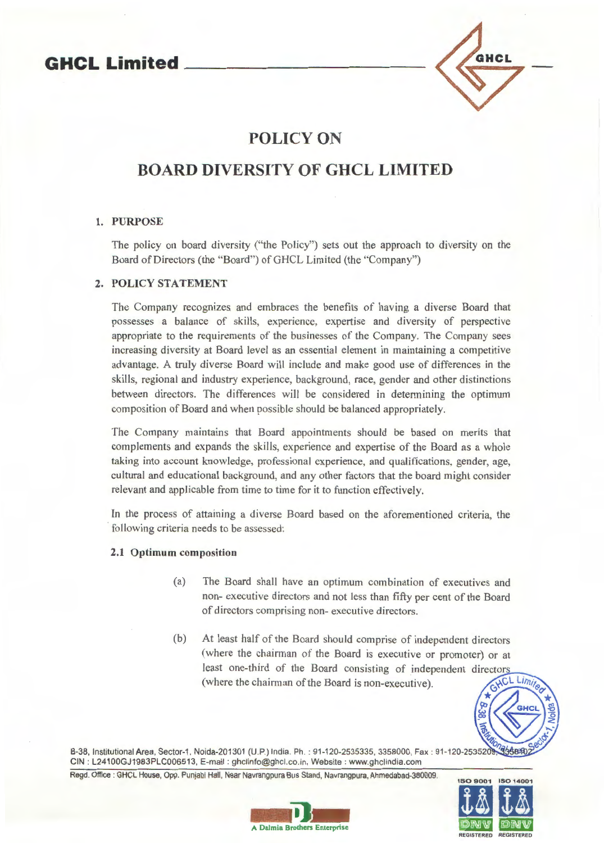## **GHCL Limited**



## **POLICY ON**

## **BOARD DIVERSITY OF GHCL LIMITED**

#### 1. PURPOSE

The policy on board diversity ("the Policy") sets out the approach to diversity on the Board of Directors (the "Board") of GHCL Limited (the "Company")

### 2. POLICY STATEMENT

The Company recognizes and embraces the benefits of having a diverse Board that possesses a balance of skills, experience, expertise and diversity of perspective appropriate to the requirements of the businesses of the Company. The Company sees increasing diversity at Board level as an essential element in maintaining a competitive advantage. A truly diverse Board will include and make good use of differences in the skills, regional and industry experience, background, race, gender and other distinctions between directors. The differences will be considered in determining the optimum composition of Board and when possible should be balanced appropriately.

The Company maintains that Board appointments should be based on merits that complements and expands the skills, experience and expertise of the Board as a whole taking into account knowledge, professional experience, and qualifications, gender, age, cultural and educational background, and any other factors that the board might consider relevant and applicable from time to time for it to function effectively.

In the process of attaining a diverse Board based on the aforementioned criteria, the following criteria needs to be assessed:

#### 2.1 Optimum composition

- (a) The Board shall have an optimum combination of executives and non- executive directors and not less than fifty per cent of the Board of directors comprising non- executive directors.
- (b) At least half of the Board should comprise of independent directors (where the chairman of the Board is executive or promoter) or at least one-third of the Board consisting of independent directors (where the chairman of the Board is non-executive).



B-38, Institutional Area, Sector-1, Noida-201301 (U.P.) India. Ph.: 91-120-2535335, 3358000, Fax: 91-120-253520 CIN: L24100GJ1983PLC006513, E-mail: ghclinfo@ghcl.co.in, Website: www.ghclindia.com

Regd. Office : GHCL House, Opp. Punjabi Hall, Near Navrangpura Bus Stand, Navrangpura, Ahmedabad-380009.



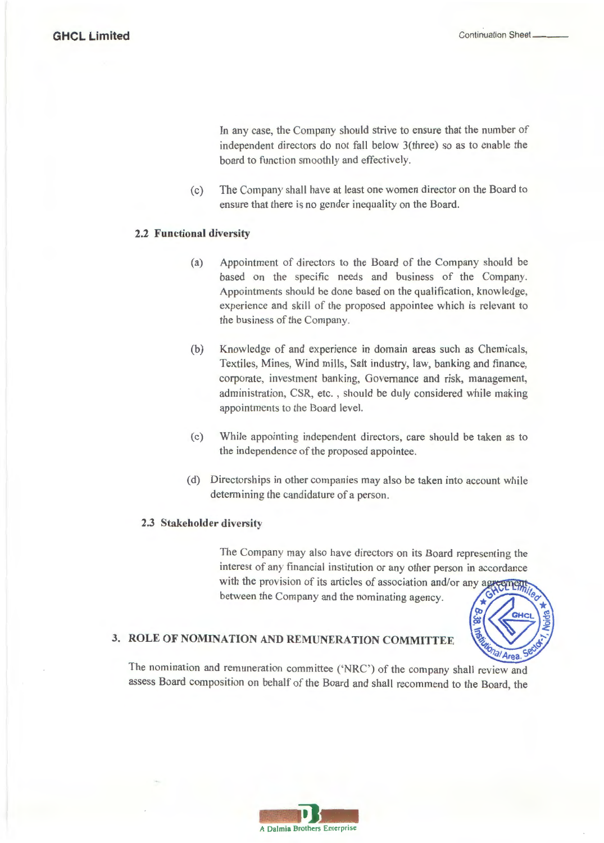In any case, the Company should strive to ensure that the number of independent directors do not fall below 3(three) so as to enable the board to function smoothly and effectively.

(c) The Company shall have at least one women director on the Board to ensure that there is no gender inequality on the Board.

#### **2.2 Functional diversity**

- (a) Appointment of directors to the Board of the Company should be based on the specific needs and business of the Company. Appointments should be done based on the qualification, knowledge, experience and skill of the proposed appointee which is relevant to the business of the Company.
- (b) Knowledge of and experience in domain areas such as Chemicals, Textiles, Mines, Wind mills, Salt industry, law, banking and finance, corporate, investment banking, Governance and risk, management, administration, CSR, etc. , should be duly considered while making appointments to the Board level.
- (c) While appointing independent directors, care should be taken as to the independence of the proposed appointee.
- (d) Directorships in other companies may also be taken into account while determining the candidature of a person.

#### **2.3 Stakeholder diversity**

The Company may also have directors on its Board representing the interest of any financial institution or any other person in accordance with the provision of its articles of association and/or any agreement between the Company and the nominating agency.



# **3. ROLE OF NOMINATION AND REMUNERATION COMMITTEE**

The nomination and remuneration committee ('NRC') of the company shall review and assess Board composition on behalf of the Board and shall recommend to the Board, the